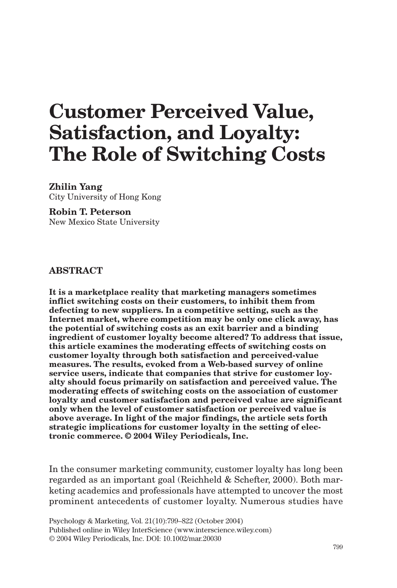# **Customer Perceived Value, Satisfaction, and Loyalty: The Role of Switching Costs**

**Zhilin Yang** City University of Hong Kong

#### **Robin T. Peterson**

New Mexico State University

#### **ABSTRACT**

**It is a marketplace reality that marketing managers sometimes inflict switching costs on their customers, to inhibit them from defecting to new suppliers. In a competitive setting, such as the Internet market, where competition may be only one click away, has the potential of switching costs as an exit barrier and a binding ingredient of customer loyalty become altered? To address that issue, this article examines the moderating effects of switching costs on customer loyalty through both satisfaction and perceived-value measures. The results, evoked from a Web-based survey of online service users, indicate that companies that strive for customer loyalty should focus primarily on satisfaction and perceived value. The moderating effects of switching costs on the association of customer loyalty and customer satisfaction and perceived value are significant only when the level of customer satisfaction or perceived value is above average. In light of the major findings, the article sets forth strategic implications for customer loyalty in the setting of electronic commerce. © 2004 Wiley Periodicals, Inc.**

In the consumer marketing community, customer loyalty has long been regarded as an important goal (Reichheld & Schefter, 2000). Both marketing academics and professionals have attempted to uncover the most prominent antecedents of customer loyalty. Numerous studies have

Psychology & Marketing, Vol. 21(10):799–822 (October 2004) Published online in Wiley InterScience (www.interscience.wiley.com) © 2004 Wiley Periodicals, Inc. DOI: 10.1002/mar.20030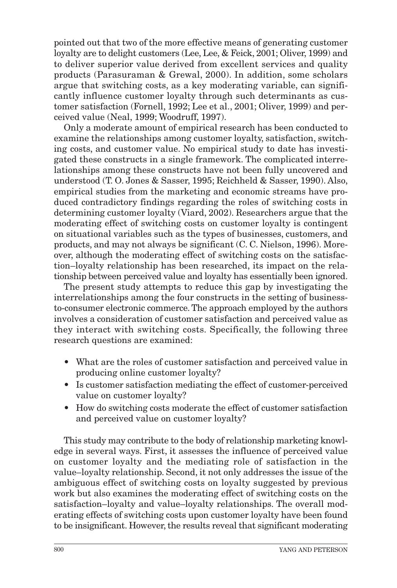pointed out that two of the more effective means of generating customer loyalty are to delight customers (Lee, Lee, & Feick, 2001; Oliver, 1999) and to deliver superior value derived from excellent services and quality products (Parasuraman & Grewal, 2000). In addition, some scholars argue that switching costs, as a key moderating variable, can significantly influence customer loyalty through such determinants as customer satisfaction (Fornell, 1992; Lee et al., 2001; Oliver, 1999) and perceived value (Neal, 1999; Woodruff, 1997).

Only a moderate amount of empirical research has been conducted to examine the relationships among customer loyalty, satisfaction, switching costs, and customer value. No empirical study to date has investigated these constructs in a single framework. The complicated interrelationships among these constructs have not been fully uncovered and understood (T. O. Jones & Sasser, 1995; Reichheld & Sasser, 1990). Also, empirical studies from the marketing and economic streams have produced contradictory findings regarding the roles of switching costs in determining customer loyalty (Viard, 2002). Researchers argue that the moderating effect of switching costs on customer loyalty is contingent on situational variables such as the types of businesses, customers, and products, and may not always be significant (C. C. Nielson, 1996). Moreover, although the moderating effect of switching costs on the satisfaction–loyalty relationship has been researched, its impact on the relationship between perceived value and loyalty has essentially been ignored.

The present study attempts to reduce this gap by investigating the interrelationships among the four constructs in the setting of businessto-consumer electronic commerce. The approach employed by the authors involves a consideration of customer satisfaction and perceived value as they interact with switching costs. Specifically, the following three research questions are examined:

- What are the roles of customer satisfaction and perceived value in producing online customer loyalty?
- Is customer satisfaction mediating the effect of customer-perceived value on customer loyalty?
- How do switching costs moderate the effect of customer satisfaction and perceived value on customer loyalty?

This study may contribute to the body of relationship marketing knowledge in several ways. First, it assesses the influence of perceived value on customer loyalty and the mediating role of satisfaction in the value–loyalty relationship. Second, it not only addresses the issue of the ambiguous effect of switching costs on loyalty suggested by previous work but also examines the moderating effect of switching costs on the satisfaction–loyalty and value–loyalty relationships. The overall moderating effects of switching costs upon customer loyalty have been found to be insignificant. However, the results reveal that significant moderating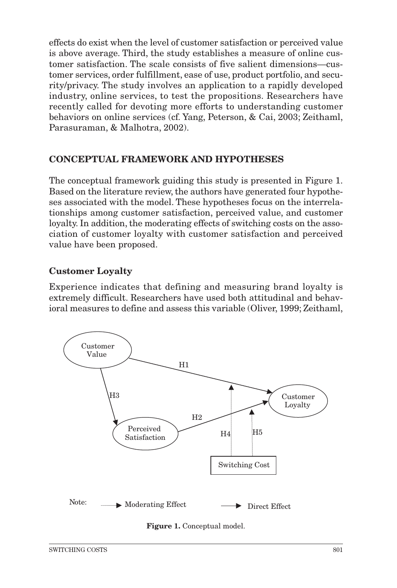effects do exist when the level of customer satisfaction or perceived value is above average. Third, the study establishes a measure of online customer satisfaction. The scale consists of five salient dimensions—customer services, order fulfillment, ease of use, product portfolio, and security/privacy. The study involves an application to a rapidly developed industry, online services, to test the propositions. Researchers have recently called for devoting more efforts to understanding customer behaviors on online services (cf. Yang, Peterson, & Cai, 2003; Zeithaml, Parasuraman, & Malhotra, 2002).

## **CONCEPTUAL FRAMEWORK AND HYPOTHESES**

The conceptual framework guiding this study is presented in Figure 1. Based on the literature review, the authors have generated four hypotheses associated with the model. These hypotheses focus on the interrelationships among customer satisfaction, perceived value, and customer loyalty. In addition, the moderating effects of switching costs on the association of customer loyalty with customer satisfaction and perceived value have been proposed.

# **Customer Loyalty**

Experience indicates that defining and measuring brand loyalty is extremely difficult. Researchers have used both attitudinal and behavioral measures to define and assess this variable (Oliver, 1999; Zeithaml,



**Figure 1.** Conceptual model.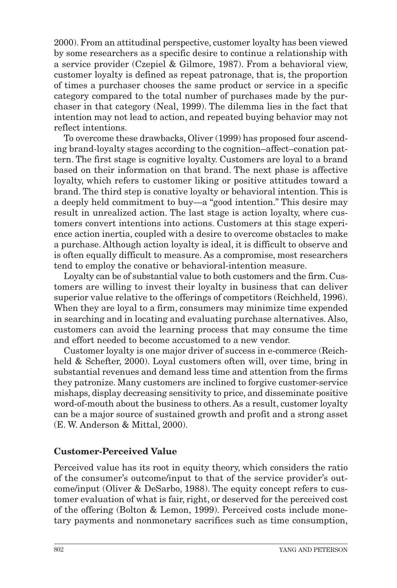2000). From an attitudinal perspective, customer loyalty has been viewed by some researchers as a specific desire to continue a relationship with a service provider (Czepiel & Gilmore, 1987). From a behavioral view, customer loyalty is defined as repeat patronage, that is, the proportion of times a purchaser chooses the same product or service in a specific category compared to the total number of purchases made by the purchaser in that category (Neal, 1999). The dilemma lies in the fact that intention may not lead to action, and repeated buying behavior may not reflect intentions.

To overcome these drawbacks, Oliver (1999) has proposed four ascending brand-loyalty stages according to the cognition–affect–conation pattern. The first stage is cognitive loyalty. Customers are loyal to a brand based on their information on that brand. The next phase is affective loyalty, which refers to customer liking or positive attitudes toward a brand. The third step is conative loyalty or behavioral intention. This is a deeply held commitment to buy—a "good intention." This desire may result in unrealized action. The last stage is action loyalty, where customers convert intentions into actions. Customers at this stage experience action inertia, coupled with a desire to overcome obstacles to make a purchase. Although action loyalty is ideal, it is difficult to observe and is often equally difficult to measure. As a compromise, most researchers tend to employ the conative or behavioral-intention measure.

Loyalty can be of substantial value to both customers and the firm. Customers are willing to invest their loyalty in business that can deliver superior value relative to the offerings of competitors (Reichheld, 1996). When they are loyal to a firm, consumers may minimize time expended in searching and in locating and evaluating purchase alternatives. Also, customers can avoid the learning process that may consume the time and effort needed to become accustomed to a new vendor.

Customer loyalty is one major driver of success in e-commerce (Reichheld & Schefter, 2000). Loyal customers often will, over time, bring in substantial revenues and demand less time and attention from the firms they patronize. Many customers are inclined to forgive customer-service mishaps, display decreasing sensitivity to price, and disseminate positive word-of-mouth about the business to others. As a result, customer loyalty can be a major source of sustained growth and profit and a strong asset (E. W. Anderson & Mittal, 2000).

#### **Customer-Perceived Value**

Perceived value has its root in equity theory, which considers the ratio of the consumer's outcome/input to that of the service provider's outcome/input (Oliver & DeSarbo, 1988). The equity concept refers to customer evaluation of what is fair, right, or deserved for the perceived cost of the offering (Bolton & Lemon, 1999). Perceived costs include monetary payments and nonmonetary sacrifices such as time consumption,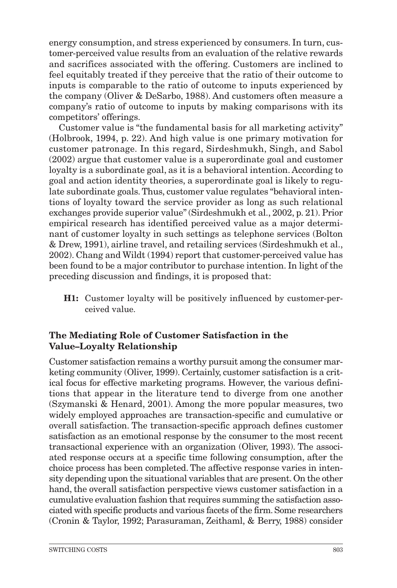energy consumption, and stress experienced by consumers. In turn, customer-perceived value results from an evaluation of the relative rewards and sacrifices associated with the offering. Customers are inclined to feel equitably treated if they perceive that the ratio of their outcome to inputs is comparable to the ratio of outcome to inputs experienced by the company (Oliver & DeSarbo, 1988). And customers often measure a company's ratio of outcome to inputs by making comparisons with its competitors' offerings.

Customer value is "the fundamental basis for all marketing activity" (Holbrook, 1994, p. 22). And high value is one primary motivation for customer patronage. In this regard, Sirdeshmukh, Singh, and Sabol (2002) argue that customer value is a superordinate goal and customer loyalty is a subordinate goal, as it is a behavioral intention. According to goal and action identity theories, a superordinate goal is likely to regulate subordinate goals. Thus, customer value regulates "behavioral intentions of loyalty toward the service provider as long as such relational exchanges provide superior value" (Sirdeshmukh et al., 2002, p. 21). Prior empirical research has identified perceived value as a major determinant of customer loyalty in such settings as telephone services (Bolton & Drew, 1991), airline travel, and retailing services (Sirdeshmukh et al., 2002). Chang and Wildt (1994) report that customer-perceived value has been found to be a major contributor to purchase intention. In light of the preceding discussion and findings, it is proposed that:

**H1:** Customer loyalty will be positively influenced by customer-perceived value.

## **The Mediating Role of Customer Satisfaction in the Value–Loyalty Relationship**

Customer satisfaction remains a worthy pursuit among the consumer marketing community (Oliver, 1999). Certainly, customer satisfaction is a critical focus for effective marketing programs. However, the various definitions that appear in the literature tend to diverge from one another (Szymanski & Henard, 2001). Among the more popular measures, two widely employed approaches are transaction-specific and cumulative or overall satisfaction. The transaction-specific approach defines customer satisfaction as an emotional response by the consumer to the most recent transactional experience with an organization (Oliver, 1993). The associated response occurs at a specific time following consumption, after the choice process has been completed. The affective response varies in intensity depending upon the situational variables that are present. On the other hand, the overall satisfaction perspective views customer satisfaction in a cumulative evaluation fashion that requires summing the satisfaction associated with specific products and various facets of the firm. Some researchers (Cronin & Taylor, 1992; Parasuraman, Zeithaml, & Berry, 1988) consider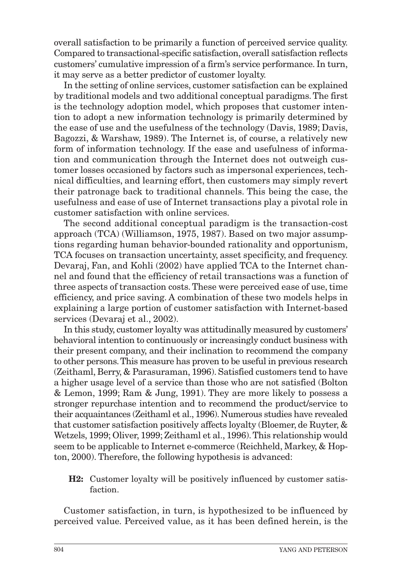overall satisfaction to be primarily a function of perceived service quality. Compared to transactional-specific satisfaction, overall satisfaction reflects customers' cumulative impression of a firm's service performance. In turn, it may serve as a better predictor of customer loyalty.

In the setting of online services, customer satisfaction can be explained by traditional models and two additional conceptual paradigms. The first is the technology adoption model, which proposes that customer intention to adopt a new information technology is primarily determined by the ease of use and the usefulness of the technology (Davis, 1989; Davis, Bagozzi, & Warshaw, 1989). The Internet is, of course, a relatively new form of information technology. If the ease and usefulness of information and communication through the Internet does not outweigh customer losses occasioned by factors such as impersonal experiences, technical difficulties, and learning effort, then customers may simply revert their patronage back to traditional channels. This being the case, the usefulness and ease of use of Internet transactions play a pivotal role in customer satisfaction with online services.

The second additional conceptual paradigm is the transaction-cost approach (TCA) (Williamson, 1975, 1987). Based on two major assumptions regarding human behavior-bounded rationality and opportunism, TCA focuses on transaction uncertainty, asset specificity, and frequency. Devaraj, Fan, and Kohli (2002) have applied TCA to the Internet channel and found that the efficiency of retail transactions was a function of three aspects of transaction costs. These were perceived ease of use, time efficiency, and price saving. A combination of these two models helps in explaining a large portion of customer satisfaction with Internet-based services (Devaraj et al., 2002).

In this study, customer loyalty was attitudinally measured by customers' behavioral intention to continuously or increasingly conduct business with their present company, and their inclination to recommend the company to other persons.This measure has proven to be useful in previous research (Zeithaml, Berry, & Parasuraman, 1996). Satisfied customers tend to have a higher usage level of a service than those who are not satisfied (Bolton & Lemon, 1999; Ram & Jung, 1991). They are more likely to possess a stronger repurchase intention and to recommend the product/service to their acquaintances (Zeithaml et al., 1996). Numerous studies have revealed that customer satisfaction positively affects loyalty (Bloemer, de Ruyter, & Wetzels, 1999; Oliver, 1999; Zeithaml et al., 1996).This relationship would seem to be applicable to Internet e-commerce (Reichheld, Markey, & Hopton, 2000). Therefore, the following hypothesis is advanced:

**H2:** Customer loyalty will be positively influenced by customer satisfaction.

Customer satisfaction, in turn, is hypothesized to be influenced by perceived value. Perceived value, as it has been defined herein, is the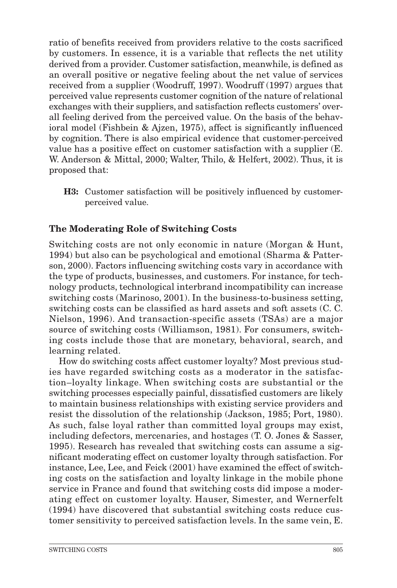ratio of benefits received from providers relative to the costs sacrificed by customers. In essence, it is a variable that reflects the net utility derived from a provider. Customer satisfaction, meanwhile, is defined as an overall positive or negative feeling about the net value of services received from a supplier (Woodruff, 1997). Woodruff (1997) argues that perceived value represents customer cognition of the nature of relational exchanges with their suppliers, and satisfaction reflects customers' overall feeling derived from the perceived value. On the basis of the behavioral model (Fishbein & Ajzen, 1975), affect is significantly influenced by cognition. There is also empirical evidence that customer-perceived value has a positive effect on customer satisfaction with a supplier (E. W. Anderson & Mittal, 2000; Walter, Thilo, & Helfert, 2002). Thus, it is proposed that:

**H3:** Customer satisfaction will be positively influenced by customerperceived value.

## **The Moderating Role of Switching Costs**

Switching costs are not only economic in nature (Morgan & Hunt, 1994) but also can be psychological and emotional (Sharma & Patterson, 2000). Factors influencing switching costs vary in accordance with the type of products, businesses, and customers. For instance, for technology products, technological interbrand incompatibility can increase switching costs (Marinoso, 2001). In the business-to-business setting, switching costs can be classified as hard assets and soft assets (C. C. Nielson, 1996). And transaction-specific assets (TSAs) are a major source of switching costs (Williamson, 1981). For consumers, switching costs include those that are monetary, behavioral, search, and learning related.

How do switching costs affect customer loyalty? Most previous studies have regarded switching costs as a moderator in the satisfaction–loyalty linkage. When switching costs are substantial or the switching processes especially painful, dissatisfied customers are likely to maintain business relationships with existing service providers and resist the dissolution of the relationship (Jackson, 1985; Port, 1980). As such, false loyal rather than committed loyal groups may exist, including defectors, mercenaries, and hostages (T. O. Jones & Sasser, 1995). Research has revealed that switching costs can assume a significant moderating effect on customer loyalty through satisfaction. For instance, Lee, Lee, and Feick (2001) have examined the effect of switching costs on the satisfaction and loyalty linkage in the mobile phone service in France and found that switching costs did impose a moderating effect on customer loyalty. Hauser, Simester, and Wernerfelt (1994) have discovered that substantial switching costs reduce customer sensitivity to perceived satisfaction levels. In the same vein, E.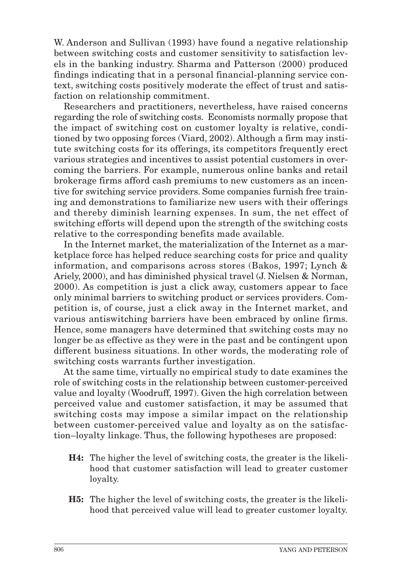W. Anderson and Sullivan (1993) have found a negative relationship between switching costs and customer sensitivity to satisfaction levels in the banking industry. Sharma and Patterson (2000) produced findings indicating that in a personal financial-planning service context, switching costs positively moderate the effect of trust and satisfaction on relationship commitment.

Researchers and practitioners, nevertheless, have raised concerns regarding the role of switching costs. Economists normally propose that the impact of switching cost on customer loyalty is relative, conditioned by two opposing forces (Viard, 2002). Although a firm may institute switching costs for its offerings, its competitors frequently erect various strategies and incentives to assist potential customers in overcoming the barriers. For example, numerous online banks and retail brokerage firms afford cash premiums to new customers as an incentive for switching service providers. Some companies furnish free training and demonstrations to familiarize new users with their offerings and thereby diminish learning expenses. In sum, the net effect of switching efforts will depend upon the strength of the switching costs relative to the corresponding benefits made available.

In the Internet market, the materialization of the Internet as a marketplace force has helped reduce searching costs for price and quality information, and comparisons across stores (Bakos, 1997; Lynch & Ariely, 2000), and has diminished physical travel (J. Nielsen & Norman, 2000). As competition is just a click away, customers appear to face only minimal barriers to switching product or services providers. Competition is, of course, just a click away in the Internet market, and various antiswitching barriers have been embraced by online firms. Hence, some managers have determined that switching costs may no longer be as effective as they were in the past and be contingent upon different business situations. In other words, the moderating role of switching costs warrants further investigation.

At the same time, virtually no empirical study to date examines the role of switching costs in the relationship between customer-perceived value and loyalty (Woodruff, 1997). Given the high correlation between perceived value and customer satisfaction, it may be assumed that switching costs may impose a similar impact on the relationship between customer-perceived value and loyalty as on the satisfaction–loyalty linkage. Thus, the following hypotheses are proposed:

- **H4:** The higher the level of switching costs, the greater is the likelihood that customer satisfaction will lead to greater customer loyalty.
- **H5:** The higher the level of switching costs, the greater is the likelihood that perceived value will lead to greater customer loyalty.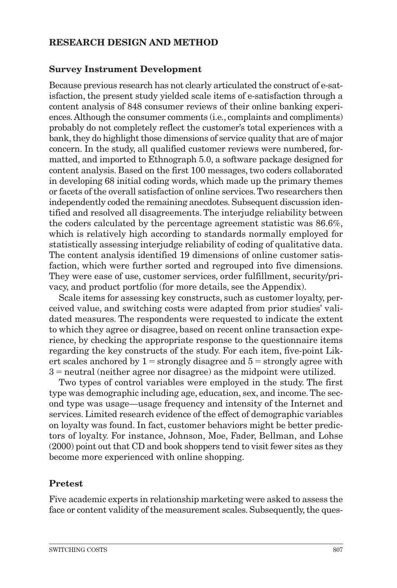#### **RESEARCH DESIGN AND METHOD**

#### **Survey Instrument Development**

Because previous research has not clearly articulated the construct of e-satisfaction, the present study yielded scale items of e-satisfaction through a content analysis of 848 consumer reviews of their online banking experiences.Although the consumer comments (i.e., complaints and compliments) probably do not completely reflect the customer's total experiences with a bank, they do highlight those dimensions of service quality that are of major concern. In the study, all qualified customer reviews were numbered, formatted, and imported to Ethnograph 5.0, a software package designed for content analysis. Based on the first 100 messages, two coders collaborated in developing 68 initial coding words, which made up the primary themes or facets of the overall satisfaction of online services.Two researchers then independently coded the remaining anecdotes. Subsequent discussion identified and resolved all disagreements. The interjudge reliability between the coders calculated by the percentage agreement statistic was 86.6%, which is relatively high according to standards normally employed for statistically assessing interjudge reliability of coding of qualitative data. The content analysis identified 19 dimensions of online customer satisfaction, which were further sorted and regrouped into five dimensions. They were ease of use, customer services, order fulfillment, security/privacy, and product portfolio (for more details, see the Appendix).

Scale items for assessing key constructs, such as customer loyalty, perceived value, and switching costs were adapted from prior studies' validated measures. The respondents were requested to indicate the extent to which they agree or disagree, based on recent online transaction experience, by checking the appropriate response to the questionnaire items regarding the key constructs of the study. For each item, five-point Likert scales anchored by  $1 =$  strongly disagree and  $5 =$  strongly agree with  $3$  = neutral (neither agree nor disagree) as the midpoint were utilized.

Two types of control variables were employed in the study. The first type was demographic including age, education, sex, and income. The second type was usage—usage frequency and intensity of the Internet and services. Limited research evidence of the effect of demographic variables on loyalty was found. In fact, customer behaviors might be better predictors of loyalty. For instance, Johnson, Moe, Fader, Bellman, and Lohse (2000) point out that CD and book shoppers tend to visit fewer sites as they become more experienced with online shopping.

#### **Pretest**

Five academic experts in relationship marketing were asked to assess the face or content validity of the measurement scales. Subsequently, the ques-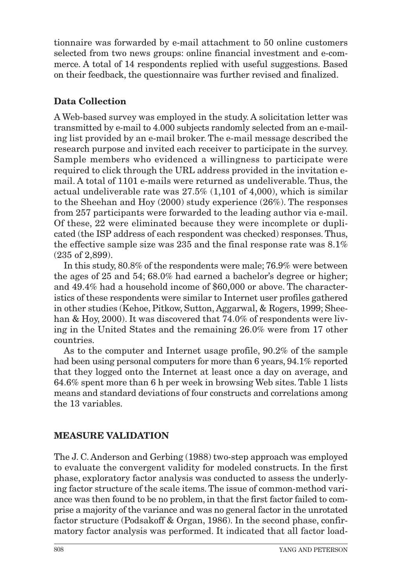tionnaire was forwarded by e-mail attachment to 50 online customers selected from two news groups: online financial investment and e-commerce. A total of 14 respondents replied with useful suggestions. Based on their feedback, the questionnaire was further revised and finalized.

# **Data Collection**

A Web-based survey was employed in the study. A solicitation letter was transmitted by e-mail to 4.000 subjects randomly selected from an e-mailing list provided by an e-mail broker. The e-mail message described the research purpose and invited each receiver to participate in the survey. Sample members who evidenced a willingness to participate were required to click through the URL address provided in the invitation email. A total of 1101 e-mails were returned as undeliverable. Thus, the actual undeliverable rate was 27.5% (1,101 of 4,000), which is similar to the Sheehan and Hoy (2000) study experience (26%). The responses from 257 participants were forwarded to the leading author via e-mail. Of these, 22 were eliminated because they were incomplete or duplicated (the ISP address of each respondent was checked) responses. Thus, the effective sample size was 235 and the final response rate was 8.1% (235 of 2,899).

In this study, 80.8% of the respondents were male; 76.9% were between the ages of 25 and 54; 68.0% had earned a bachelor's degree or higher; and 49.4% had a household income of \$60,000 or above. The characteristics of these respondents were similar to Internet user profiles gathered in other studies (Kehoe, Pitkow, Sutton, Aggarwal, & Rogers, 1999; Sheehan & Hoy, 2000). It was discovered that 74.0% of respondents were living in the United States and the remaining 26.0% were from 17 other countries.

As to the computer and Internet usage profile, 90.2% of the sample had been using personal computers for more than 6 years, 94.1% reported that they logged onto the Internet at least once a day on average, and 64.6% spent more than 6 h per week in browsing Web sites. Table 1 lists means and standard deviations of four constructs and correlations among the 13 variables.

# **MEASURE VALIDATION**

The J. C. Anderson and Gerbing (1988) two-step approach was employed to evaluate the convergent validity for modeled constructs. In the first phase, exploratory factor analysis was conducted to assess the underlying factor structure of the scale items. The issue of common-method variance was then found to be no problem, in that the first factor failed to comprise a majority of the variance and was no general factor in the unrotated factor structure (Podsakoff & Organ, 1986). In the second phase, confirmatory factor analysis was performed. It indicated that all factor load-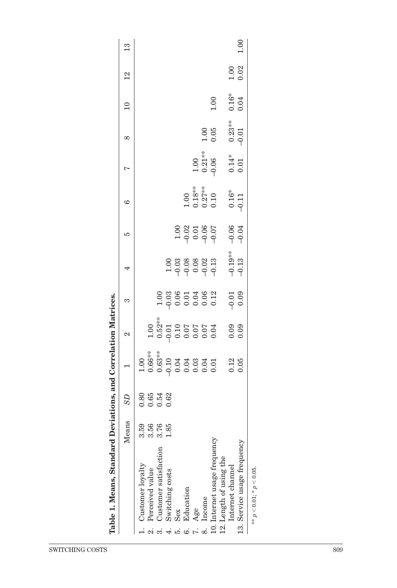|                                                                                                                                                                                                                                                                                                                                                                                             | S<br>$\mathbf{\Omega}$                                                                                                            | 4                                                                                                                                                                                                                                                                                                             | 5                                       | ပ                                                                | $\overline{a}$                                         | $\infty$                                    | $\overline{10}$ | $^{2}$           | 13       |
|---------------------------------------------------------------------------------------------------------------------------------------------------------------------------------------------------------------------------------------------------------------------------------------------------------------------------------------------------------------------------------------------|-----------------------------------------------------------------------------------------------------------------------------------|---------------------------------------------------------------------------------------------------------------------------------------------------------------------------------------------------------------------------------------------------------------------------------------------------------------|-----------------------------------------|------------------------------------------------------------------|--------------------------------------------------------|---------------------------------------------|-----------------|------------------|----------|
| $\circ$<br>3.59<br>Customer loyalty                                                                                                                                                                                                                                                                                                                                                         |                                                                                                                                   |                                                                                                                                                                                                                                                                                                               |                                         |                                                                  |                                                        |                                             |                 |                  |          |
| $\begin{array}{c} 1.00 \\ -0.66 \\ -0.63 \\ -0.03 \\ -0.04 \\ -0.05 \\ -0.05 \\ -0.05 \\ -0.05 \\ -0.05 \\ -0.05 \\ -0.05 \\ -0.05 \\ -0.05 \\ -0.05 \\ -0.05 \\ -0.05 \\ -0.05 \\ -0.05 \\ -0.05 \\ -0.05 \\ -0.05 \\ -0.05 \\ -0.05 \\ -0.05 \\ -0.05 \\ -0.05 \\ -0.05 \\ -0.05 \\ -0.05 \\ -0.05 \\ -0.05 \\ -0.05 \\ -0.05 \\ -0.05 \\ -0.$<br>3.56<br>Perceived value<br>$\mathbf{a}$ | $\begin{array}{c} 1.00 \\ 0.52** \\ 0.01 \\ -0.01 \\ 0.00 \\ 0.00 \\ 0.00 \\ 0.01 \\ 0.01 \\ 0.01 \\ 0.01 \\ 0.04 \\ \end{array}$ |                                                                                                                                                                                                                                                                                                               |                                         |                                                                  |                                                        |                                             |                 |                  |          |
| $\circ \circ \circ$<br>3.76<br>Customer satisfaction<br>ကဲ                                                                                                                                                                                                                                                                                                                                  |                                                                                                                                   |                                                                                                                                                                                                                                                                                                               |                                         |                                                                  |                                                        |                                             |                 |                  |          |
| 1.85<br>Switching costs                                                                                                                                                                                                                                                                                                                                                                     |                                                                                                                                   |                                                                                                                                                                                                                                                                                                               |                                         |                                                                  |                                                        |                                             |                 |                  |          |
| Sex<br>4.5                                                                                                                                                                                                                                                                                                                                                                                  |                                                                                                                                   |                                                                                                                                                                                                                                                                                                               |                                         |                                                                  |                                                        |                                             |                 |                  |          |
| Education<br>$\mathbf{\dot{\circ}}$                                                                                                                                                                                                                                                                                                                                                         |                                                                                                                                   |                                                                                                                                                                                                                                                                                                               |                                         |                                                                  |                                                        |                                             |                 |                  |          |
| Age<br>Ċ,                                                                                                                                                                                                                                                                                                                                                                                   |                                                                                                                                   |                                                                                                                                                                                                                                                                                                               |                                         |                                                                  |                                                        |                                             |                 |                  |          |
| Income<br>œ.                                                                                                                                                                                                                                                                                                                                                                                |                                                                                                                                   |                                                                                                                                                                                                                                                                                                               |                                         |                                                                  |                                                        |                                             |                 |                  |          |
| 10. Internet usage frequency                                                                                                                                                                                                                                                                                                                                                                | $\begin{array}{c} 100 \\ 100 \\ -000 \\ 000 \\ 000 \\ 000 \\ 001 \\ \end{array}$                                                  | $\begin{array}{c} 8888 \\ 1999 \\ 6999 \\ 7999 \\ 889 \\ 1999 \\ 1999 \\ 1999 \\ 1999 \\ 1999 \\ 1999 \\ 1999 \\ 1999 \\ 1999 \\ 1999 \\ 1999 \\ 1999 \\ 1999 \\ 1999 \\ 1999 \\ 1999 \\ 1999 \\ 1999 \\ 1999 \\ 1999 \\ 1999 \\ 1999 \\ 1999 \\ 1999 \\ 1999 \\ 1999 \\ 1999 \\ 1999 \\ 1999 \\ 1999 \\ 199$ | $1.00$<br>$-0.01$<br>$-0.05$<br>$-0.07$ | $\begin{array}{c} 1.00 \\ 0.18*** \\ 0.27** \\ 0.10 \end{array}$ | $\begin{array}{c} 1.00 \\ 0.21** \\ -0.06 \end{array}$ | $\begin{array}{c} 1.00 \\ 0.05 \end{array}$ | $1.00\,$        |                  |          |
| 12. Length of using the                                                                                                                                                                                                                                                                                                                                                                     |                                                                                                                                   |                                                                                                                                                                                                                                                                                                               |                                         |                                                                  |                                                        |                                             |                 |                  |          |
| $\begin{array}{c} 0.12 \\ 0.05 \end{array}$<br>Internet channel                                                                                                                                                                                                                                                                                                                             | $0.09$<br>0.09                                                                                                                    |                                                                                                                                                                                                                                                                                                               |                                         |                                                                  |                                                        |                                             | $0.16*$<br>0.04 |                  |          |
| Service usage frequency<br>13.                                                                                                                                                                                                                                                                                                                                                              | $-0.01$<br>0.09                                                                                                                   | $-0.19***$<br>$-0.13$                                                                                                                                                                                                                                                                                         | $-0.06$<br>$-0.04$                      | $\begin{array}{c} 0.16^* \\ -0.11 \end{array}$                   | $0.14*$<br>0.01                                        | $0.23**$<br>-0.01                           |                 | $1.00$<br>$0.02$ | $1.00\,$ |
| ** $p < 0.01$ ; * $p < 0.05$                                                                                                                                                                                                                                                                                                                                                                |                                                                                                                                   |                                                                                                                                                                                                                                                                                                               |                                         |                                                                  |                                                        |                                             |                 |                  |          |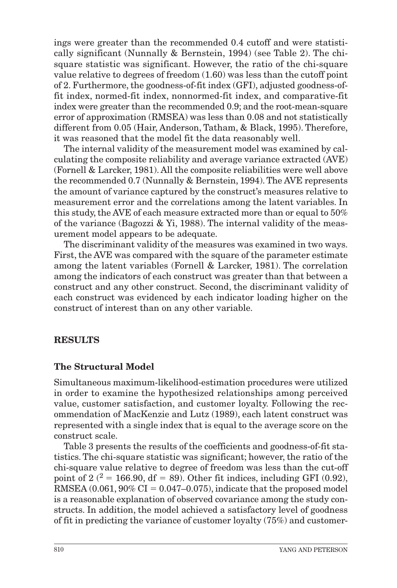ings were greater than the recommended 0.4 cutoff and were statistically significant (Nunnally & Bernstein, 1994) (see Table 2). The chisquare statistic was significant. However, the ratio of the chi-square value relative to degrees of freedom (1.60) was less than the cutoff point of 2. Furthermore, the goodness-of-fit index (GFI), adjusted goodness-offit index, normed-fit index, nonnormed-fit index, and comparative-fit index were greater than the recommended 0.9; and the root-mean-square error of approximation (RMSEA) was less than 0.08 and not statistically different from 0.05 (Hair, Anderson, Tatham, & Black, 1995). Therefore, it was reasoned that the model fit the data reasonably well.

The internal validity of the measurement model was examined by calculating the composite reliability and average variance extracted (AVE) (Fornell & Larcker, 1981). All the composite reliabilities were well above the recommended 0.7 (Nunnally & Bernstein, 1994). The AVE represents the amount of variance captured by the construct's measures relative to measurement error and the correlations among the latent variables. In this study, the AVE of each measure extracted more than or equal to 50% of the variance (Bagozzi & Yi, 1988). The internal validity of the measurement model appears to be adequate.

The discriminant validity of the measures was examined in two ways. First, the AVE was compared with the square of the parameter estimate among the latent variables (Fornell & Larcker, 1981). The correlation among the indicators of each construct was greater than that between a construct and any other construct. Second, the discriminant validity of each construct was evidenced by each indicator loading higher on the construct of interest than on any other variable.

## **RESULTS**

## **The Structural Model**

Simultaneous maximum-likelihood-estimation procedures were utilized in order to examine the hypothesized relationships among perceived value, customer satisfaction, and customer loyalty. Following the recommendation of MacKenzie and Lutz (1989), each latent construct was represented with a single index that is equal to the average score on the construct scale.

Table 3 presents the results of the coefficients and goodness-of-fit statistics. The chi-square statistic was significant; however, the ratio of the chi-square value relative to degree of freedom was less than the cut-off point of 2 ( $^2$  = 166.90, df = 89). Other fit indices, including GFI (0.92), RMSEA  $(0.061, 90\% \text{ CI} = 0.047-0.075)$ , indicate that the proposed model is a reasonable explanation of observed covariance among the study constructs. In addition, the model achieved a satisfactory level of goodness of fit in predicting the variance of customer loyalty (75%) and customer-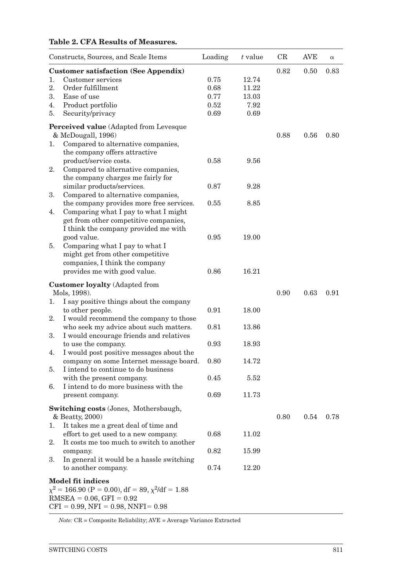| 0.82<br>0.50<br><b>Customer satisfaction (See Appendix)</b><br>0.83<br>Customer services<br>0.75<br>12.74<br>1.<br>2.<br>Order fulfillment<br>0.68<br>11.22<br>Ease of use<br>3.<br>0.77<br>13.03<br>Product portfolio<br>0.52<br>7.92<br>4.<br>Security/privacy<br>5.<br>0.69<br>0.69<br>Perceived value (Adapted from Levesque<br>& McDougall, 1996)<br>0.88<br>0.56<br>0.80<br>Compared to alternative companies,<br>1.<br>the company offers attractive<br>product/service costs.<br>0.58<br>9.56<br>Compared to alternative companies,<br>2.<br>the company charges me fairly for<br>0.87<br>similar products/services.<br>9.28<br>Compared to alternative companies,<br>3.<br>the company provides more free services.<br>0.55<br>8.85<br>Comparing what I pay to what I might<br>4.<br>get from other competitive companies,<br>I think the company provided me with<br>good value.<br>0.95<br>19.00<br>Comparing what I pay to what I<br>5.<br>might get from other competitive<br>companies, I think the company<br>provides me with good value.<br>0.86<br>16.21<br><b>Customer loyalty (Adapted from</b><br>Mols, 1998).<br>0.90<br>0.63<br>0.91<br>I say positive things about the company<br>1.<br>0.91<br>to other people.<br>18.00<br>I would recommend the company to those<br>2.<br>0.81<br>who seek my advice about such matters.<br>13.86<br>I would encourage friends and relatives<br>3.<br>0.93<br>to use the company.<br>18.93<br>I would post positive messages about the<br>4.<br>company on some Internet message board.<br>0.80<br>14.72<br>I intend to continue to do business<br>5.<br>with the present company.<br>0.45<br>5.52<br>I intend to do more business with the<br>6.<br>0.69<br>11.73<br>present company.<br>Switching costs (Jones, Mothersbaugh,<br>& Beatty, 2000)<br>0.80<br>$0.54\,$<br>0.78<br>It takes me a great deal of time and<br>1.<br>effort to get used to a new company.<br>0.68<br>11.02<br>It costs me too much to switch to another<br>2.<br>0.82<br>15.99<br>company.<br>In general it would be a hassle switching<br>3.<br>to another company.<br>0.74<br>12.20<br><b>Model fit indices</b><br>$\chi^2$ = 166.90 (P = 0.00), df = 89, $\chi^2$ /df = 1.88<br>$RMSEA = 0.06, GFI = 0.92$<br>$CFI = 0.99$ , $NFI = 0.98$ , $NNFI = 0.98$ | Constructs, Sources, and Scale Items | Loading | t value | CR | <b>AVE</b> | $\alpha$ |
|----------------------------------------------------------------------------------------------------------------------------------------------------------------------------------------------------------------------------------------------------------------------------------------------------------------------------------------------------------------------------------------------------------------------------------------------------------------------------------------------------------------------------------------------------------------------------------------------------------------------------------------------------------------------------------------------------------------------------------------------------------------------------------------------------------------------------------------------------------------------------------------------------------------------------------------------------------------------------------------------------------------------------------------------------------------------------------------------------------------------------------------------------------------------------------------------------------------------------------------------------------------------------------------------------------------------------------------------------------------------------------------------------------------------------------------------------------------------------------------------------------------------------------------------------------------------------------------------------------------------------------------------------------------------------------------------------------------------------------------------------------------------------------------------------------------------------------------------------------------------------------------------------------------------------------------------------------------------------------------------------------------------------------------------------------------------------------------------------------------------------------------------------------------------------------------------------------------------------------------------------------------------------------------------------|--------------------------------------|---------|---------|----|------------|----------|
|                                                                                                                                                                                                                                                                                                                                                                                                                                                                                                                                                                                                                                                                                                                                                                                                                                                                                                                                                                                                                                                                                                                                                                                                                                                                                                                                                                                                                                                                                                                                                                                                                                                                                                                                                                                                                                                                                                                                                                                                                                                                                                                                                                                                                                                                                                    |                                      |         |         |    |            |          |
|                                                                                                                                                                                                                                                                                                                                                                                                                                                                                                                                                                                                                                                                                                                                                                                                                                                                                                                                                                                                                                                                                                                                                                                                                                                                                                                                                                                                                                                                                                                                                                                                                                                                                                                                                                                                                                                                                                                                                                                                                                                                                                                                                                                                                                                                                                    |                                      |         |         |    |            |          |
|                                                                                                                                                                                                                                                                                                                                                                                                                                                                                                                                                                                                                                                                                                                                                                                                                                                                                                                                                                                                                                                                                                                                                                                                                                                                                                                                                                                                                                                                                                                                                                                                                                                                                                                                                                                                                                                                                                                                                                                                                                                                                                                                                                                                                                                                                                    |                                      |         |         |    |            |          |
|                                                                                                                                                                                                                                                                                                                                                                                                                                                                                                                                                                                                                                                                                                                                                                                                                                                                                                                                                                                                                                                                                                                                                                                                                                                                                                                                                                                                                                                                                                                                                                                                                                                                                                                                                                                                                                                                                                                                                                                                                                                                                                                                                                                                                                                                                                    |                                      |         |         |    |            |          |
|                                                                                                                                                                                                                                                                                                                                                                                                                                                                                                                                                                                                                                                                                                                                                                                                                                                                                                                                                                                                                                                                                                                                                                                                                                                                                                                                                                                                                                                                                                                                                                                                                                                                                                                                                                                                                                                                                                                                                                                                                                                                                                                                                                                                                                                                                                    |                                      |         |         |    |            |          |
|                                                                                                                                                                                                                                                                                                                                                                                                                                                                                                                                                                                                                                                                                                                                                                                                                                                                                                                                                                                                                                                                                                                                                                                                                                                                                                                                                                                                                                                                                                                                                                                                                                                                                                                                                                                                                                                                                                                                                                                                                                                                                                                                                                                                                                                                                                    |                                      |         |         |    |            |          |
|                                                                                                                                                                                                                                                                                                                                                                                                                                                                                                                                                                                                                                                                                                                                                                                                                                                                                                                                                                                                                                                                                                                                                                                                                                                                                                                                                                                                                                                                                                                                                                                                                                                                                                                                                                                                                                                                                                                                                                                                                                                                                                                                                                                                                                                                                                    |                                      |         |         |    |            |          |
|                                                                                                                                                                                                                                                                                                                                                                                                                                                                                                                                                                                                                                                                                                                                                                                                                                                                                                                                                                                                                                                                                                                                                                                                                                                                                                                                                                                                                                                                                                                                                                                                                                                                                                                                                                                                                                                                                                                                                                                                                                                                                                                                                                                                                                                                                                    |                                      |         |         |    |            |          |
|                                                                                                                                                                                                                                                                                                                                                                                                                                                                                                                                                                                                                                                                                                                                                                                                                                                                                                                                                                                                                                                                                                                                                                                                                                                                                                                                                                                                                                                                                                                                                                                                                                                                                                                                                                                                                                                                                                                                                                                                                                                                                                                                                                                                                                                                                                    |                                      |         |         |    |            |          |
|                                                                                                                                                                                                                                                                                                                                                                                                                                                                                                                                                                                                                                                                                                                                                                                                                                                                                                                                                                                                                                                                                                                                                                                                                                                                                                                                                                                                                                                                                                                                                                                                                                                                                                                                                                                                                                                                                                                                                                                                                                                                                                                                                                                                                                                                                                    |                                      |         |         |    |            |          |
|                                                                                                                                                                                                                                                                                                                                                                                                                                                                                                                                                                                                                                                                                                                                                                                                                                                                                                                                                                                                                                                                                                                                                                                                                                                                                                                                                                                                                                                                                                                                                                                                                                                                                                                                                                                                                                                                                                                                                                                                                                                                                                                                                                                                                                                                                                    |                                      |         |         |    |            |          |
|                                                                                                                                                                                                                                                                                                                                                                                                                                                                                                                                                                                                                                                                                                                                                                                                                                                                                                                                                                                                                                                                                                                                                                                                                                                                                                                                                                                                                                                                                                                                                                                                                                                                                                                                                                                                                                                                                                                                                                                                                                                                                                                                                                                                                                                                                                    |                                      |         |         |    |            |          |
|                                                                                                                                                                                                                                                                                                                                                                                                                                                                                                                                                                                                                                                                                                                                                                                                                                                                                                                                                                                                                                                                                                                                                                                                                                                                                                                                                                                                                                                                                                                                                                                                                                                                                                                                                                                                                                                                                                                                                                                                                                                                                                                                                                                                                                                                                                    |                                      |         |         |    |            |          |
|                                                                                                                                                                                                                                                                                                                                                                                                                                                                                                                                                                                                                                                                                                                                                                                                                                                                                                                                                                                                                                                                                                                                                                                                                                                                                                                                                                                                                                                                                                                                                                                                                                                                                                                                                                                                                                                                                                                                                                                                                                                                                                                                                                                                                                                                                                    |                                      |         |         |    |            |          |
|                                                                                                                                                                                                                                                                                                                                                                                                                                                                                                                                                                                                                                                                                                                                                                                                                                                                                                                                                                                                                                                                                                                                                                                                                                                                                                                                                                                                                                                                                                                                                                                                                                                                                                                                                                                                                                                                                                                                                                                                                                                                                                                                                                                                                                                                                                    |                                      |         |         |    |            |          |
|                                                                                                                                                                                                                                                                                                                                                                                                                                                                                                                                                                                                                                                                                                                                                                                                                                                                                                                                                                                                                                                                                                                                                                                                                                                                                                                                                                                                                                                                                                                                                                                                                                                                                                                                                                                                                                                                                                                                                                                                                                                                                                                                                                                                                                                                                                    |                                      |         |         |    |            |          |
|                                                                                                                                                                                                                                                                                                                                                                                                                                                                                                                                                                                                                                                                                                                                                                                                                                                                                                                                                                                                                                                                                                                                                                                                                                                                                                                                                                                                                                                                                                                                                                                                                                                                                                                                                                                                                                                                                                                                                                                                                                                                                                                                                                                                                                                                                                    |                                      |         |         |    |            |          |
|                                                                                                                                                                                                                                                                                                                                                                                                                                                                                                                                                                                                                                                                                                                                                                                                                                                                                                                                                                                                                                                                                                                                                                                                                                                                                                                                                                                                                                                                                                                                                                                                                                                                                                                                                                                                                                                                                                                                                                                                                                                                                                                                                                                                                                                                                                    |                                      |         |         |    |            |          |
|                                                                                                                                                                                                                                                                                                                                                                                                                                                                                                                                                                                                                                                                                                                                                                                                                                                                                                                                                                                                                                                                                                                                                                                                                                                                                                                                                                                                                                                                                                                                                                                                                                                                                                                                                                                                                                                                                                                                                                                                                                                                                                                                                                                                                                                                                                    |                                      |         |         |    |            |          |
|                                                                                                                                                                                                                                                                                                                                                                                                                                                                                                                                                                                                                                                                                                                                                                                                                                                                                                                                                                                                                                                                                                                                                                                                                                                                                                                                                                                                                                                                                                                                                                                                                                                                                                                                                                                                                                                                                                                                                                                                                                                                                                                                                                                                                                                                                                    |                                      |         |         |    |            |          |
|                                                                                                                                                                                                                                                                                                                                                                                                                                                                                                                                                                                                                                                                                                                                                                                                                                                                                                                                                                                                                                                                                                                                                                                                                                                                                                                                                                                                                                                                                                                                                                                                                                                                                                                                                                                                                                                                                                                                                                                                                                                                                                                                                                                                                                                                                                    |                                      |         |         |    |            |          |
|                                                                                                                                                                                                                                                                                                                                                                                                                                                                                                                                                                                                                                                                                                                                                                                                                                                                                                                                                                                                                                                                                                                                                                                                                                                                                                                                                                                                                                                                                                                                                                                                                                                                                                                                                                                                                                                                                                                                                                                                                                                                                                                                                                                                                                                                                                    |                                      |         |         |    |            |          |
|                                                                                                                                                                                                                                                                                                                                                                                                                                                                                                                                                                                                                                                                                                                                                                                                                                                                                                                                                                                                                                                                                                                                                                                                                                                                                                                                                                                                                                                                                                                                                                                                                                                                                                                                                                                                                                                                                                                                                                                                                                                                                                                                                                                                                                                                                                    |                                      |         |         |    |            |          |
|                                                                                                                                                                                                                                                                                                                                                                                                                                                                                                                                                                                                                                                                                                                                                                                                                                                                                                                                                                                                                                                                                                                                                                                                                                                                                                                                                                                                                                                                                                                                                                                                                                                                                                                                                                                                                                                                                                                                                                                                                                                                                                                                                                                                                                                                                                    |                                      |         |         |    |            |          |
|                                                                                                                                                                                                                                                                                                                                                                                                                                                                                                                                                                                                                                                                                                                                                                                                                                                                                                                                                                                                                                                                                                                                                                                                                                                                                                                                                                                                                                                                                                                                                                                                                                                                                                                                                                                                                                                                                                                                                                                                                                                                                                                                                                                                                                                                                                    |                                      |         |         |    |            |          |
|                                                                                                                                                                                                                                                                                                                                                                                                                                                                                                                                                                                                                                                                                                                                                                                                                                                                                                                                                                                                                                                                                                                                                                                                                                                                                                                                                                                                                                                                                                                                                                                                                                                                                                                                                                                                                                                                                                                                                                                                                                                                                                                                                                                                                                                                                                    |                                      |         |         |    |            |          |
|                                                                                                                                                                                                                                                                                                                                                                                                                                                                                                                                                                                                                                                                                                                                                                                                                                                                                                                                                                                                                                                                                                                                                                                                                                                                                                                                                                                                                                                                                                                                                                                                                                                                                                                                                                                                                                                                                                                                                                                                                                                                                                                                                                                                                                                                                                    |                                      |         |         |    |            |          |
|                                                                                                                                                                                                                                                                                                                                                                                                                                                                                                                                                                                                                                                                                                                                                                                                                                                                                                                                                                                                                                                                                                                                                                                                                                                                                                                                                                                                                                                                                                                                                                                                                                                                                                                                                                                                                                                                                                                                                                                                                                                                                                                                                                                                                                                                                                    |                                      |         |         |    |            |          |
|                                                                                                                                                                                                                                                                                                                                                                                                                                                                                                                                                                                                                                                                                                                                                                                                                                                                                                                                                                                                                                                                                                                                                                                                                                                                                                                                                                                                                                                                                                                                                                                                                                                                                                                                                                                                                                                                                                                                                                                                                                                                                                                                                                                                                                                                                                    |                                      |         |         |    |            |          |
|                                                                                                                                                                                                                                                                                                                                                                                                                                                                                                                                                                                                                                                                                                                                                                                                                                                                                                                                                                                                                                                                                                                                                                                                                                                                                                                                                                                                                                                                                                                                                                                                                                                                                                                                                                                                                                                                                                                                                                                                                                                                                                                                                                                                                                                                                                    |                                      |         |         |    |            |          |
|                                                                                                                                                                                                                                                                                                                                                                                                                                                                                                                                                                                                                                                                                                                                                                                                                                                                                                                                                                                                                                                                                                                                                                                                                                                                                                                                                                                                                                                                                                                                                                                                                                                                                                                                                                                                                                                                                                                                                                                                                                                                                                                                                                                                                                                                                                    |                                      |         |         |    |            |          |
|                                                                                                                                                                                                                                                                                                                                                                                                                                                                                                                                                                                                                                                                                                                                                                                                                                                                                                                                                                                                                                                                                                                                                                                                                                                                                                                                                                                                                                                                                                                                                                                                                                                                                                                                                                                                                                                                                                                                                                                                                                                                                                                                                                                                                                                                                                    |                                      |         |         |    |            |          |
|                                                                                                                                                                                                                                                                                                                                                                                                                                                                                                                                                                                                                                                                                                                                                                                                                                                                                                                                                                                                                                                                                                                                                                                                                                                                                                                                                                                                                                                                                                                                                                                                                                                                                                                                                                                                                                                                                                                                                                                                                                                                                                                                                                                                                                                                                                    |                                      |         |         |    |            |          |
|                                                                                                                                                                                                                                                                                                                                                                                                                                                                                                                                                                                                                                                                                                                                                                                                                                                                                                                                                                                                                                                                                                                                                                                                                                                                                                                                                                                                                                                                                                                                                                                                                                                                                                                                                                                                                                                                                                                                                                                                                                                                                                                                                                                                                                                                                                    |                                      |         |         |    |            |          |
|                                                                                                                                                                                                                                                                                                                                                                                                                                                                                                                                                                                                                                                                                                                                                                                                                                                                                                                                                                                                                                                                                                                                                                                                                                                                                                                                                                                                                                                                                                                                                                                                                                                                                                                                                                                                                                                                                                                                                                                                                                                                                                                                                                                                                                                                                                    |                                      |         |         |    |            |          |
|                                                                                                                                                                                                                                                                                                                                                                                                                                                                                                                                                                                                                                                                                                                                                                                                                                                                                                                                                                                                                                                                                                                                                                                                                                                                                                                                                                                                                                                                                                                                                                                                                                                                                                                                                                                                                                                                                                                                                                                                                                                                                                                                                                                                                                                                                                    |                                      |         |         |    |            |          |
|                                                                                                                                                                                                                                                                                                                                                                                                                                                                                                                                                                                                                                                                                                                                                                                                                                                                                                                                                                                                                                                                                                                                                                                                                                                                                                                                                                                                                                                                                                                                                                                                                                                                                                                                                                                                                                                                                                                                                                                                                                                                                                                                                                                                                                                                                                    |                                      |         |         |    |            |          |
|                                                                                                                                                                                                                                                                                                                                                                                                                                                                                                                                                                                                                                                                                                                                                                                                                                                                                                                                                                                                                                                                                                                                                                                                                                                                                                                                                                                                                                                                                                                                                                                                                                                                                                                                                                                                                                                                                                                                                                                                                                                                                                                                                                                                                                                                                                    |                                      |         |         |    |            |          |
|                                                                                                                                                                                                                                                                                                                                                                                                                                                                                                                                                                                                                                                                                                                                                                                                                                                                                                                                                                                                                                                                                                                                                                                                                                                                                                                                                                                                                                                                                                                                                                                                                                                                                                                                                                                                                                                                                                                                                                                                                                                                                                                                                                                                                                                                                                    |                                      |         |         |    |            |          |
|                                                                                                                                                                                                                                                                                                                                                                                                                                                                                                                                                                                                                                                                                                                                                                                                                                                                                                                                                                                                                                                                                                                                                                                                                                                                                                                                                                                                                                                                                                                                                                                                                                                                                                                                                                                                                                                                                                                                                                                                                                                                                                                                                                                                                                                                                                    |                                      |         |         |    |            |          |
|                                                                                                                                                                                                                                                                                                                                                                                                                                                                                                                                                                                                                                                                                                                                                                                                                                                                                                                                                                                                                                                                                                                                                                                                                                                                                                                                                                                                                                                                                                                                                                                                                                                                                                                                                                                                                                                                                                                                                                                                                                                                                                                                                                                                                                                                                                    |                                      |         |         |    |            |          |
|                                                                                                                                                                                                                                                                                                                                                                                                                                                                                                                                                                                                                                                                                                                                                                                                                                                                                                                                                                                                                                                                                                                                                                                                                                                                                                                                                                                                                                                                                                                                                                                                                                                                                                                                                                                                                                                                                                                                                                                                                                                                                                                                                                                                                                                                                                    |                                      |         |         |    |            |          |
|                                                                                                                                                                                                                                                                                                                                                                                                                                                                                                                                                                                                                                                                                                                                                                                                                                                                                                                                                                                                                                                                                                                                                                                                                                                                                                                                                                                                                                                                                                                                                                                                                                                                                                                                                                                                                                                                                                                                                                                                                                                                                                                                                                                                                                                                                                    |                                      |         |         |    |            |          |
|                                                                                                                                                                                                                                                                                                                                                                                                                                                                                                                                                                                                                                                                                                                                                                                                                                                                                                                                                                                                                                                                                                                                                                                                                                                                                                                                                                                                                                                                                                                                                                                                                                                                                                                                                                                                                                                                                                                                                                                                                                                                                                                                                                                                                                                                                                    |                                      |         |         |    |            |          |
|                                                                                                                                                                                                                                                                                                                                                                                                                                                                                                                                                                                                                                                                                                                                                                                                                                                                                                                                                                                                                                                                                                                                                                                                                                                                                                                                                                                                                                                                                                                                                                                                                                                                                                                                                                                                                                                                                                                                                                                                                                                                                                                                                                                                                                                                                                    |                                      |         |         |    |            |          |
|                                                                                                                                                                                                                                                                                                                                                                                                                                                                                                                                                                                                                                                                                                                                                                                                                                                                                                                                                                                                                                                                                                                                                                                                                                                                                                                                                                                                                                                                                                                                                                                                                                                                                                                                                                                                                                                                                                                                                                                                                                                                                                                                                                                                                                                                                                    |                                      |         |         |    |            |          |
|                                                                                                                                                                                                                                                                                                                                                                                                                                                                                                                                                                                                                                                                                                                                                                                                                                                                                                                                                                                                                                                                                                                                                                                                                                                                                                                                                                                                                                                                                                                                                                                                                                                                                                                                                                                                                                                                                                                                                                                                                                                                                                                                                                                                                                                                                                    |                                      |         |         |    |            |          |
|                                                                                                                                                                                                                                                                                                                                                                                                                                                                                                                                                                                                                                                                                                                                                                                                                                                                                                                                                                                                                                                                                                                                                                                                                                                                                                                                                                                                                                                                                                                                                                                                                                                                                                                                                                                                                                                                                                                                                                                                                                                                                                                                                                                                                                                                                                    |                                      |         |         |    |            |          |
|                                                                                                                                                                                                                                                                                                                                                                                                                                                                                                                                                                                                                                                                                                                                                                                                                                                                                                                                                                                                                                                                                                                                                                                                                                                                                                                                                                                                                                                                                                                                                                                                                                                                                                                                                                                                                                                                                                                                                                                                                                                                                                                                                                                                                                                                                                    |                                      |         |         |    |            |          |
|                                                                                                                                                                                                                                                                                                                                                                                                                                                                                                                                                                                                                                                                                                                                                                                                                                                                                                                                                                                                                                                                                                                                                                                                                                                                                                                                                                                                                                                                                                                                                                                                                                                                                                                                                                                                                                                                                                                                                                                                                                                                                                                                                                                                                                                                                                    |                                      |         |         |    |            |          |
|                                                                                                                                                                                                                                                                                                                                                                                                                                                                                                                                                                                                                                                                                                                                                                                                                                                                                                                                                                                                                                                                                                                                                                                                                                                                                                                                                                                                                                                                                                                                                                                                                                                                                                                                                                                                                                                                                                                                                                                                                                                                                                                                                                                                                                                                                                    |                                      |         |         |    |            |          |

#### **Table 2. CFA Results of Measures.**

*Note:* CR = Composite Reliability; AVE = Average Variance Extracted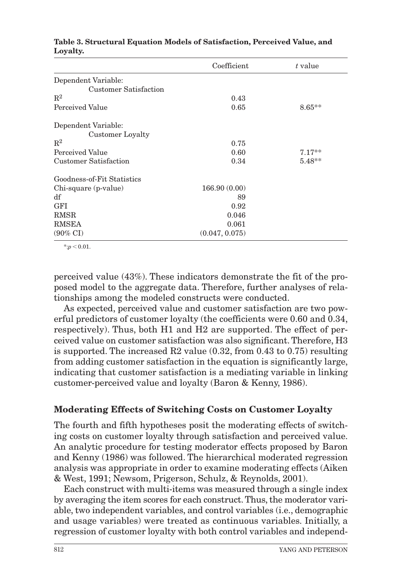|                              | Coefficient    | t value  |
|------------------------------|----------------|----------|
| Dependent Variable:          |                |          |
| <b>Customer Satisfaction</b> |                |          |
| $\mathbb{R}^2$               | 0.43           |          |
| Perceived Value              | 0.65           | $8.65**$ |
| Dependent Variable:          |                |          |
| Customer Loyalty             |                |          |
| $R^2$                        | 0.75           |          |
| Perceived Value              | 0.60           | $7.17**$ |
| <b>Customer Satisfaction</b> | 0.34           | $5.48**$ |
| Goodness-of-Fit Statistics   |                |          |
| Chi-square (p-value)         | 166.90(0.00)   |          |
| df                           | 89             |          |
| <b>GFI</b>                   | 0.92           |          |
| <b>RMSR</b>                  | 0.046          |          |
| <b>RMSEA</b>                 | 0.061          |          |
| $(90\% \text{ CI})$          | (0.047, 0.075) |          |

#### **Table 3. Structural Equation Models of Satisfaction, Perceived Value, and Loyalty.**

 $*$ : $p < 0.01$ .

perceived value (43%). These indicators demonstrate the fit of the proposed model to the aggregate data. Therefore, further analyses of relationships among the modeled constructs were conducted.

As expected, perceived value and customer satisfaction are two powerful predictors of customer loyalty (the coefficients were 0.60 and 0.34, respectively). Thus, both H1 and H2 are supported. The effect of perceived value on customer satisfaction was also significant. Therefore, H3 is supported. The increased R2 value (0.32, from 0.43 to 0.75) resulting from adding customer satisfaction in the equation is significantly large, indicating that customer satisfaction is a mediating variable in linking customer-perceived value and loyalty (Baron & Kenny, 1986).

## **Moderating Effects of Switching Costs on Customer Loyalty**

The fourth and fifth hypotheses posit the moderating effects of switching costs on customer loyalty through satisfaction and perceived value. An analytic procedure for testing moderator effects proposed by Baron and Kenny (1986) was followed. The hierarchical moderated regression analysis was appropriate in order to examine moderating effects (Aiken & West, 1991; Newsom, Prigerson, Schulz, & Reynolds, 2001).

Each construct with multi-items was measured through a single index by averaging the item scores for each construct. Thus, the moderator variable, two independent variables, and control variables (i.e., demographic and usage variables) were treated as continuous variables. Initially, a regression of customer loyalty with both control variables and independ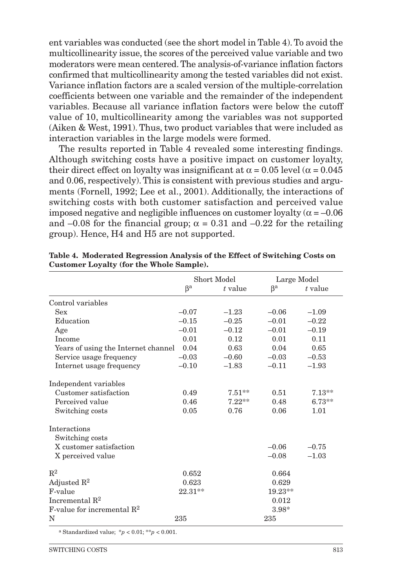ent variables was conducted (see the short model in Table 4). To avoid the multicollinearity issue, the scores of the perceived value variable and two moderators were mean centered.The analysis-of-variance inflation factors confirmed that multicollinearity among the tested variables did not exist. Variance inflation factors are a scaled version of the multiple-correlation coefficients between one variable and the remainder of the independent variables. Because all variance inflation factors were below the cutoff value of 10, multicollinearity among the variables was not supported (Aiken & West, 1991). Thus, two product variables that were included as interaction variables in the large models were formed.

The results reported in Table 4 revealed some interesting findings. Although switching costs have a positive impact on customer loyalty, their direct effect on loyalty was insignificant at  $\alpha = 0.05$  level ( $\alpha = 0.045$ ) and 0.06, respectively). This is consistent with previous studies and arguments (Fornell, 1992; Lee et al., 2001). Additionally, the interactions of switching costs with both customer satisfaction and perceived value imposed negative and negligible influences on customer loyalty ( $α = -0.06$ ) and  $-0.08$  for the financial group;  $\alpha = 0.31$  and  $-0.22$  for the retailing group). Hence, H4 and H5 are not supported.

|                                        |           | Short Model | Large Model    |          |
|----------------------------------------|-----------|-------------|----------------|----------|
|                                        | $\beta^a$ | t value     | β <sup>a</sup> | t value  |
| Control variables                      |           |             |                |          |
| <b>Sex</b>                             | $-0.07$   | $-1.23$     | $-0.06$        | $-1.09$  |
| Education                              | $-0.15$   | $-0.25$     | $-0.01$        | $-0.22$  |
| Age                                    | $-0.01$   | $-0.12$     | $-0.01$        | $-0.19$  |
| Income                                 | 0.01      | 0.12        | 0.01           | 0.11     |
| Years of using the Internet channel    | 0.04      | 0.63        | 0.04           | 0.65     |
| Service usage frequency                | $-0.03$   | $-0.60$     | $-0.03$        | $-0.53$  |
| Internet usage frequency               | $-0.10$   | $-1.83$     | $-0.11$        | $-1.93$  |
| Independent variables                  |           |             |                |          |
| Customer satisfaction                  | 0.49      | $7.51**$    | 0.51           | $7.13**$ |
| Perceived value                        | 0.46      | $7.22**$    | 0.48           | $6.73**$ |
| Switching costs                        | 0.05      | 0.76        | 0.06           | 1.01     |
| Interactions                           |           |             |                |          |
| Switching costs                        |           |             |                |          |
| X customer satisfaction                |           |             | $-0.06$        | $-0.75$  |
| X perceived value                      |           |             | $-0.08$        | $-1.03$  |
| $R^2$                                  | 0.652     |             | 0.664          |          |
| Adjusted $\mathbb{R}^2$                | 0.623     |             | 0.629          |          |
| F-value                                | $22.31**$ |             | $19.23**$      |          |
| Incremental $R^2$                      |           |             | 0.012          |          |
| F-value for incremental $\mathbb{R}^2$ |           |             | $3.98*$        |          |
| N                                      | 235       |             | 235            |          |

**Table 4. Moderated Regression Analysis of the Effect of Switching Costs on Customer Loyalty (for the Whole Sample).**

<sup>a</sup> Standardized value; \**p* < 0.01; \*\**p* < 0.001.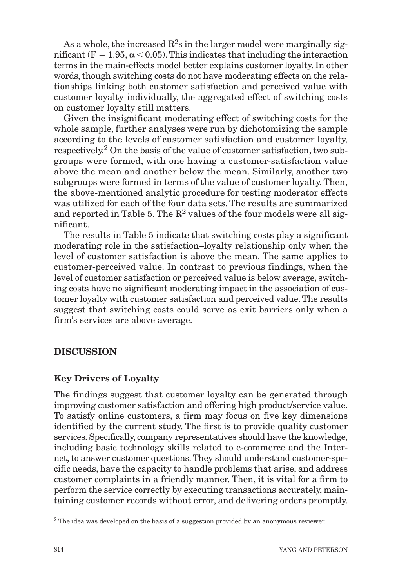As a whole, the increased  $R^2$ s in the larger model were marginally significant ( $F = 1.95, \alpha < 0.05$ ). This indicates that including the interaction terms in the main-effects model better explains customer loyalty. In other words, though switching costs do not have moderating effects on the relationships linking both customer satisfaction and perceived value with customer loyalty individually, the aggregated effect of switching costs on customer loyalty still matters.

Given the insignificant moderating effect of switching costs for the whole sample, further analyses were run by dichotomizing the sample according to the levels of customer satisfaction and customer loyalty, respectively.2 On the basis of the value of customer satisfaction, two subgroups were formed, with one having a customer-satisfaction value above the mean and another below the mean. Similarly, another two subgroups were formed in terms of the value of customer loyalty. Then, the above-mentioned analytic procedure for testing moderator effects was utilized for each of the four data sets. The results are summarized and reported in Table 5. The  $R^2$  values of the four models were all significant.

The results in Table 5 indicate that switching costs play a significant moderating role in the satisfaction–loyalty relationship only when the level of customer satisfaction is above the mean. The same applies to customer-perceived value. In contrast to previous findings, when the level of customer satisfaction or perceived value is below average, switching costs have no significant moderating impact in the association of customer loyalty with customer satisfaction and perceived value. The results suggest that switching costs could serve as exit barriers only when a firm's services are above average.

# **DISCUSSION**

## **Key Drivers of Loyalty**

The findings suggest that customer loyalty can be generated through improving customer satisfaction and offering high product/service value. To satisfy online customers, a firm may focus on five key dimensions identified by the current study. The first is to provide quality customer services. Specifically, company representatives should have the knowledge, including basic technology skills related to e-commerce and the Internet, to answer customer questions. They should understand customer-specific needs, have the capacity to handle problems that arise, and address customer complaints in a friendly manner. Then, it is vital for a firm to perform the service correctly by executing transactions accurately, maintaining customer records without error, and delivering orders promptly.

<sup>2</sup> The idea was developed on the basis of a suggestion provided by an anonymous reviewer.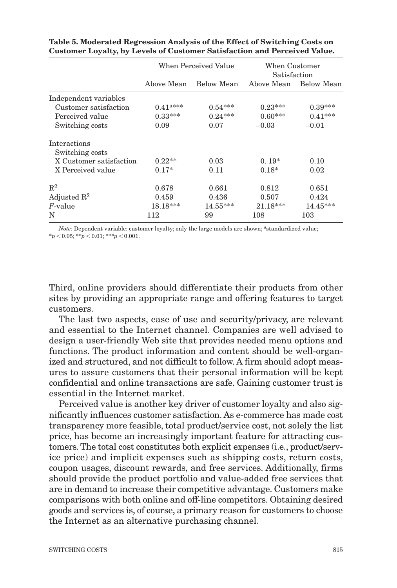|                         |               | When Perceived Value | When Customer<br>Satisfaction |            |
|-------------------------|---------------|----------------------|-------------------------------|------------|
|                         | Above Mean    | Below Mean           | Above Mean                    | Below Mean |
| Independent variables   |               |                      |                               |            |
| Customer satisfaction   | $0.41^{a***}$ | $0.54***$            | $0.23***$                     | $0.39***$  |
| Perceived value         | $0.33***$     | $0.24***$            | $0.60***$                     | $0.41***$  |
| Switching costs         | 0.09          | 0.07                 | $-0.03$                       | $-0.01$    |
| Interactions            |               |                      |                               |            |
| Switching costs         |               |                      |                               |            |
| X Customer satisfaction | $0.22**$      | 0.03                 | $0.19*$                       | 0.10       |
| X Perceived value       | $0.17*$       | 0.11                 | $0.18*$                       | 0.02       |
| $R^2$                   | 0.678         | 0.661                | 0.812                         | 0.651      |
| Adjusted $\mathbb{R}^2$ | 0.459         | 0.436                | 0.507                         | 0.424      |
| $F$ -value              | 18.18***      | $14.55***$           | $21.18***$                    | 14.45***   |
| N                       | 112           | 99                   | 108                           | 103        |

| Table 5. Moderated Regression Analysis of the Effect of Switching Costs on |  |
|----------------------------------------------------------------------------|--|
| Customer Loyalty, by Levels of Customer Satisfaction and Perceived Value.  |  |

*Note:* Dependent variable: customer loyalty; only the large models are shown; <sup>a</sup>standardized value;  $*_{p}$  < 0.05; \*\* $p$  < 0.01; \*\*\* $p$  < 0.001.

Third, online providers should differentiate their products from other sites by providing an appropriate range and offering features to target customers.

The last two aspects, ease of use and security/privacy, are relevant and essential to the Internet channel. Companies are well advised to design a user-friendly Web site that provides needed menu options and functions. The product information and content should be well-organized and structured, and not difficult to follow. A firm should adopt measures to assure customers that their personal information will be kept confidential and online transactions are safe. Gaining customer trust is essential in the Internet market.

Perceived value is another key driver of customer loyalty and also significantly influences customer satisfaction. As e-commerce has made cost transparency more feasible, total product/service cost, not solely the list price, has become an increasingly important feature for attracting customers. The total cost constitutes both explicit expenses (i.e., product/service price) and implicit expenses such as shipping costs, return costs, coupon usages, discount rewards, and free services. Additionally, firms should provide the product portfolio and value-added free services that are in demand to increase their competitive advantage. Customers make comparisons with both online and off-line competitors. Obtaining desired goods and services is, of course, a primary reason for customers to choose the Internet as an alternative purchasing channel.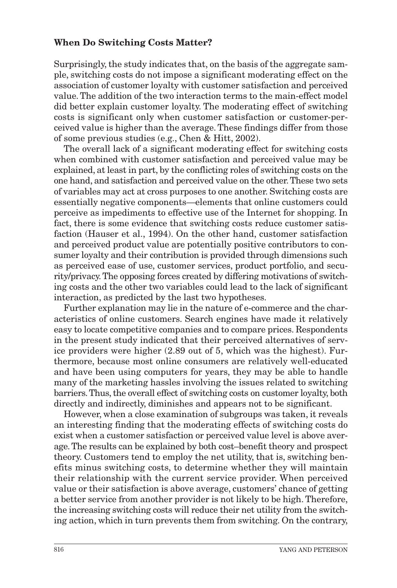#### **When Do Switching Costs Matter?**

Surprisingly, the study indicates that, on the basis of the aggregate sample, switching costs do not impose a significant moderating effect on the association of customer loyalty with customer satisfaction and perceived value. The addition of the two interaction terms to the main-effect model did better explain customer loyalty. The moderating effect of switching costs is significant only when customer satisfaction or customer-perceived value is higher than the average. These findings differ from those of some previous studies (e.g., Chen & Hitt, 2002).

The overall lack of a significant moderating effect for switching costs when combined with customer satisfaction and perceived value may be explained, at least in part, by the conflicting roles of switching costs on the one hand, and satisfaction and perceived value on the other.These two sets of variables may act at cross purposes to one another. Switching costs are essentially negative components—elements that online customers could perceive as impediments to effective use of the Internet for shopping. In fact, there is some evidence that switching costs reduce customer satisfaction (Hauser et al., 1994). On the other hand, customer satisfaction and perceived product value are potentially positive contributors to consumer loyalty and their contribution is provided through dimensions such as perceived ease of use, customer services, product portfolio, and security/privacy.The opposing forces created by differing motivations of switching costs and the other two variables could lead to the lack of significant interaction, as predicted by the last two hypotheses.

Further explanation may lie in the nature of e-commerce and the characteristics of online customers. Search engines have made it relatively easy to locate competitive companies and to compare prices. Respondents in the present study indicated that their perceived alternatives of service providers were higher (2.89 out of 5, which was the highest). Furthermore, because most online consumers are relatively well-educated and have been using computers for years, they may be able to handle many of the marketing hassles involving the issues related to switching barriers.Thus, the overall effect of switching costs on customer loyalty, both directly and indirectly, diminishes and appears not to be significant.

However, when a close examination of subgroups was taken, it reveals an interesting finding that the moderating effects of switching costs do exist when a customer satisfaction or perceived value level is above average. The results can be explained by both cost–benefit theory and prospect theory. Customers tend to employ the net utility, that is, switching benefits minus switching costs, to determine whether they will maintain their relationship with the current service provider. When perceived value or their satisfaction is above average, customers' chance of getting a better service from another provider is not likely to be high. Therefore, the increasing switching costs will reduce their net utility from the switching action, which in turn prevents them from switching. On the contrary,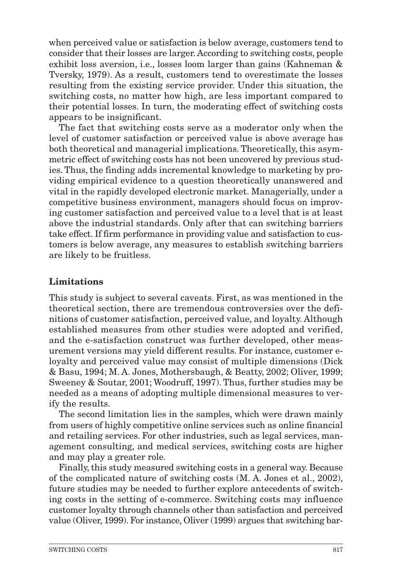when perceived value or satisfaction is below average, customers tend to consider that their losses are larger. According to switching costs, people exhibit loss aversion, i.e., losses loom larger than gains (Kahneman & Tversky, 1979). As a result, customers tend to overestimate the losses resulting from the existing service provider. Under this situation, the switching costs, no matter how high, are less important compared to their potential losses. In turn, the moderating effect of switching costs appears to be insignificant.

The fact that switching costs serve as a moderator only when the level of customer satisfaction or perceived value is above average has both theoretical and managerial implications. Theoretically, this asymmetric effect of switching costs has not been uncovered by previous studies. Thus, the finding adds incremental knowledge to marketing by providing empirical evidence to a question theoretically unanswered and vital in the rapidly developed electronic market. Managerially, under a competitive business environment, managers should focus on improving customer satisfaction and perceived value to a level that is at least above the industrial standards. Only after that can switching barriers take effect. If firm performance in providing value and satisfaction to customers is below average, any measures to establish switching barriers are likely to be fruitless.

## **Limitations**

This study is subject to several caveats. First, as was mentioned in the theoretical section, there are tremendous controversies over the definitions of customer satisfaction, perceived value, and loyalty. Although established measures from other studies were adopted and verified, and the e-satisfaction construct was further developed, other measurement versions may yield different results. For instance, customer eloyalty and perceived value may consist of multiple dimensions (Dick & Basu, 1994; M. A. Jones, Mothersbaugh, & Beatty, 2002; Oliver, 1999; Sweeney & Soutar, 2001; Woodruff, 1997). Thus, further studies may be needed as a means of adopting multiple dimensional measures to verify the results.

The second limitation lies in the samples, which were drawn mainly from users of highly competitive online services such as online financial and retailing services. For other industries, such as legal services, management consulting, and medical services, switching costs are higher and may play a greater role.

Finally, this study measured switching costs in a general way. Because of the complicated nature of switching costs (M. A. Jones et al., 2002), future studies may be needed to further explore antecedents of switching costs in the setting of e-commerce. Switching costs may influence customer loyalty through channels other than satisfaction and perceived value (Oliver, 1999). For instance, Oliver (1999) argues that switching bar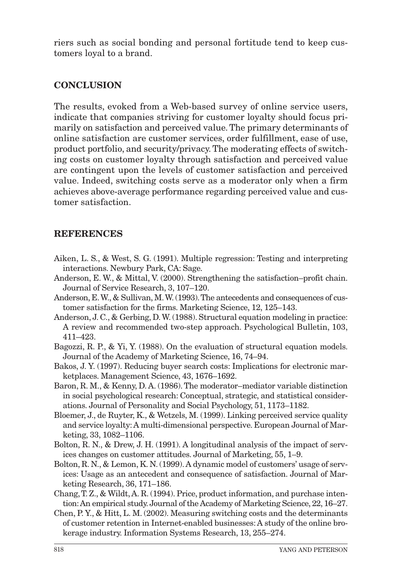riers such as social bonding and personal fortitude tend to keep customers loyal to a brand.

## **CONCLUSION**

The results, evoked from a Web-based survey of online service users, indicate that companies striving for customer loyalty should focus primarily on satisfaction and perceived value. The primary determinants of online satisfaction are customer services, order fulfillment, ease of use, product portfolio, and security/privacy. The moderating effects of switching costs on customer loyalty through satisfaction and perceived value are contingent upon the levels of customer satisfaction and perceived value. Indeed, switching costs serve as a moderator only when a firm achieves above-average performance regarding perceived value and customer satisfaction.

## **REFERENCES**

- Aiken, L. S., & West, S. G. (1991). Multiple regression: Testing and interpreting interactions. Newbury Park, CA: Sage.
- Anderson, E. W., & Mittal, V. (2000). Strengthening the satisfaction–profit chain. Journal of Service Research, 3, 107–120.
- Anderson, E.W., & Sullivan, M.W. (1993).The antecedents and consequences of customer satisfaction for the firms. Marketing Science, 12, 125–143.
- Anderson, J. C., & Gerbing, D.W. (1988). Structural equation modeling in practice: A review and recommended two-step approach. Psychological Bulletin, 103, 411–423.
- Bagozzi, R. P., & Yi, Y. (1988). On the evaluation of structural equation models. Journal of the Academy of Marketing Science, 16, 74–94.
- Bakos, J. Y. (1997). Reducing buyer search costs: Implications for electronic marketplaces. Management Science, 43, 1676–1692.
- Baron, R. M., & Kenny, D. A. (1986). The moderator–mediator variable distinction in social psychological research: Conceptual, strategic, and statistical considerations. Journal of Personality and Social Psychology, 51, 1173–1182.
- Bloemer, J., de Ruyter, K., & Wetzels, M. (1999). Linking perceived service quality and service loyalty:A multi-dimensional perspective. European Journal of Marketing, 33, 1082–1106.
- Bolton, R. N., & Drew, J. H. (1991). A longitudinal analysis of the impact of services changes on customer attitudes. Journal of Marketing, 55, 1–9.
- Bolton, R. N., & Lemon, K. N. (1999).A dynamic model of customers' usage of services: Usage as an antecedent and consequence of satisfaction. Journal of Marketing Research, 36, 171–186.
- Chang,T. Z., & Wildt,A. R. (1994). Price, product information, and purchase intention:An empirical study. Journal of the Academy of Marketing Science, 22, 16–27.
- Chen, P. Y., & Hitt, L. M. (2002). Measuring switching costs and the determinants of customer retention in Internet-enabled businesses: A study of the online brokerage industry. Information Systems Research, 13, 255–274.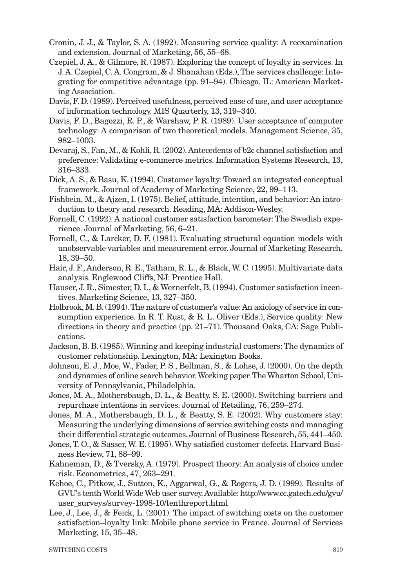- Cronin, J. J., & Taylor, S. A. (1992). Measuring service quality: A reexamination and extension. Journal of Marketing, 56, 55–68.
- Czepiel, J. A., & Gilmore, R. (1987). Exploring the concept of loyalty in services. In J.A. Czepiel, C.A. Congram, & J. Shanahan (Eds.),The services challenge: Integrating for competitive advantage (pp. 91–94). Chicago. IL: American Marketing Association.
- Davis, F. D. (1989). Perceived usefulness, perceived ease of use, and user acceptance of information technology. MIS Quarterly, 13, 319–340.
- Davis, F. D., Bagozzi, R. P., & Warshaw, P. R. (1989). User acceptance of computer technology: A comparison of two theoretical models. Management Science, 35, 982–1003.
- Devaraj, S., Fan, M., & Kohli, R. (2002).Antecedents of b2c channel satisfaction and preference: Validating e-commerce metrics. Information Systems Research, 13, 316–333.
- Dick, A. S., & Basu, K. (1994). Customer loyalty: Toward an integrated conceptual framework. Journal of Academy of Marketing Science, 22, 99–113.
- Fishbein, M., & Ajzen, I. (1975). Belief, attitude, intention, and behavior: An introduction to theory and research. Reading, MA: Addison-Wesley.
- Fornell, C. (1992). A national customer satisfaction barometer: The Swedish experience. Journal of Marketing, 56, 6–21.
- Fornell, C., & Larcker, D. F. (1981). Evaluating structural equation models with unobservable variables and measurement error. Journal of Marketing Research, 18, 39–50.
- Hair, J. F., Anderson, R. E., Tatham, R. L., & Black, W. C. (1995). Multivariate data analysis. Englewood Cliffs, NJ: Prentice Hall.
- Hauser, J. R., Simester, D. I., & Wernerfelt, B. (1994). Customer satisfaction incentives. Marketing Science, 13, 327–350.
- Holbrook, M. B. (1994).The nature of customer's value:An axiology of service in consumption experience. In R. T. Rust, & R. L. Oliver (Eds.), Service quality: New directions in theory and practice (pp. 21–71). Thousand Oaks, CA: Sage Publications.
- Jackson, B. B. (1985).Winning and keeping industrial customers:The dynamics of customer relationship. Lexington, MA: Lexington Books.
- Johnson, E. J., Moe, W., Fader, P. S., Bellman, S., & Lohse, J. (2000). On the depth and dynamics of online search behavior.Working paper.The Wharton School, University of Pennsylvania, Philadelphia.
- Jones, M. A., Mothersbaugh, D. L., & Beatty, S. E. (2000). Switching barriers and repurchase intentions in services. Journal of Retailing, 76, 259–274.
- Jones, M. A., Mothersbaugh, D. L., & Beatty, S. E. (2002). Why customers stay: Measuring the underlying dimensions of service switching costs and managing their differential strategic outcomes. Journal of Business Research, 55, 441–450.
- Jones, T. O., & Sasser, W. E. (1995). Why satisfied customer defects. Harvard Business Review, 71, 88–99.
- Kahneman, D., & Tversky, A. (1979). Prospect theory: An analysis of choice under risk. Econometrica, 47, 263–291.
- Kehoe, C., Pitkow, J., Sutton, K., Aggarwal, G., & Rogers, J. D. (1999). Results of GVU's tenth World Wide Web user survey.Available: http://www.cc.gatech.edu/gvu/ user\_surveys/survey-1998-10/tenthreport.html
- Lee, J., Lee, J., & Feick, L. (2001). The impact of switching costs on the customer satisfaction–loyalty link: Mobile phone service in France. Journal of Services Marketing, 15, 35–48.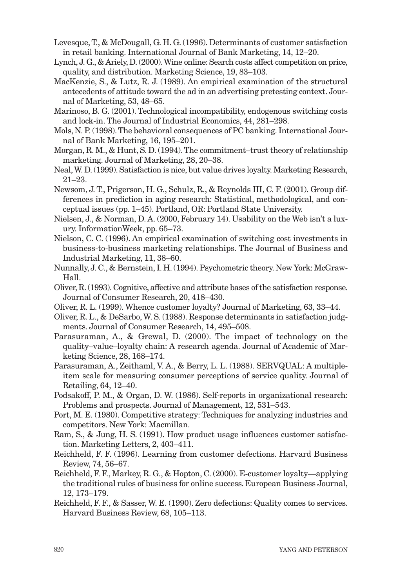- Levesque,T., & McDougall, G. H. G. (1996). Determinants of customer satisfaction in retail banking. International Journal of Bank Marketing, 14, 12–20.
- Lynch, J. G., & Ariely, D. (2000).Wine online: Search costs affect competition on price, quality, and distribution. Marketing Science, 19, 83–103.
- MacKenzie, S., & Lutz, R. J. (1989). An empirical examination of the structural antecedents of attitude toward the ad in an advertising pretesting context. Journal of Marketing, 53, 48–65.
- Marinoso, B. G. (2001). Technological incompatibility, endogenous switching costs and lock-in. The Journal of Industrial Economics, 44, 281–298.
- Mols, N. P. (1998).The behavioral consequences of PC banking. International Journal of Bank Marketing, 16, 195–201.
- Morgan, R. M., & Hunt, S. D. (1994).The commitment–trust theory of relationship marketing. Journal of Marketing, 28, 20–38.
- Neal,W. D. (1999). Satisfaction is nice, but value drives loyalty. Marketing Research, 21–23.
- Newsom, J. T., Prigerson, H. G., Schulz, R., & Reynolds III, C. F. (2001). Group differences in prediction in aging research: Statistical, methodological, and conceptual issues (pp. 1–45). Portland, OR: Portland State University.
- Nielsen, J., & Norman, D. A. (2000, February 14). Usability on the Web isn't a luxury. InformationWeek, pp. 65–73.
- Nielson, C. C. (1996). An empirical examination of switching cost investments in business-to-business marketing relationships. The Journal of Business and Industrial Marketing, 11, 38–60.
- Nunnally, J. C., & Bernstein, I. H. (1994). Psychometric theory. New York: McGraw-Hall.
- Oliver, R. (1993). Cognitive, affective and attribute bases of the satisfaction response. Journal of Consumer Research, 20, 418–430.
- Oliver, R. L. (1999). Whence customer loyalty? Journal of Marketing, 63, 33–44.
- Oliver, R. L., & DeSarbo, W. S. (1988). Response determinants in satisfaction judgments. Journal of Consumer Research, 14, 495–508.
- Parasuraman, A., & Grewal, D. (2000). The impact of technology on the quality–value–loyalty chain: A research agenda. Journal of Academic of Marketing Science, 28, 168–174.
- Parasuraman, A., Zeithaml, V. A., & Berry, L. L. (1988). SERVQUAL: A multipleitem scale for measuring consumer perceptions of service quality. Journal of Retailing, 64, 12–40.
- Podsakoff, P. M., & Organ, D. W. (1986). Self-reports in organizational research: Problems and prospects. Journal of Management, 12, 531–543.
- Port, M. E. (1980). Competitive strategy: Techniques for analyzing industries and competitors. New York: Macmillan.
- Ram, S., & Jung, H. S. (1991). How product usage influences customer satisfaction. Marketing Letters, 2, 403–411.
- Reichheld, F. F. (1996). Learning from customer defections. Harvard Business Review, 74, 56–67.
- Reichheld, F. F., Markey, R. G., & Hopton, C. (2000). E-customer loyalty—applying the traditional rules of business for online success. European Business Journal, 12, 173–179.
- Reichheld, F. F., & Sasser, W. E. (1990). Zero defections: Quality comes to services. Harvard Business Review, 68, 105–113.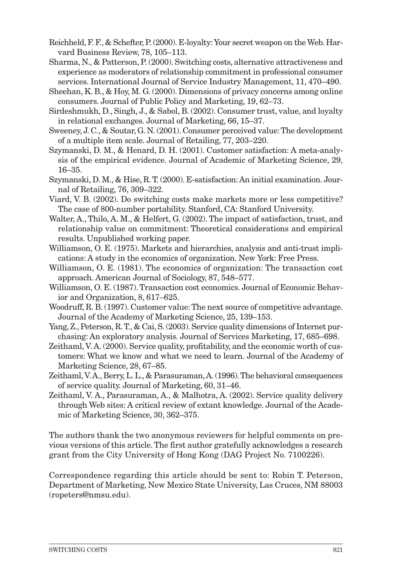- Reichheld, F. F., & Schefter, P. (2000). E-loyalty: Your secret weapon on the Web. Harvard Business Review, 78, 105–113.
- Sharma, N., & Patterson, P. (2000). Switching costs, alternative attractiveness and experience as moderators of relationship commitment in professional consumer services. International Journal of Service Industry Management, 11, 470–490.
- Sheehan, K. B., & Hoy, M. G. (2000). Dimensions of privacy concerns among online consumers. Journal of Public Policy and Marketing, 19, 62–73.
- Sirdeshmukh, D., Singh, J., & Sabol, B. (2002). Consumer trust, value, and loyalty in relational exchanges. Journal of Marketing, 66, 15–37.
- Sweeney, J. C., & Soutar, G. N. (2001). Consumer perceived value:The development of a multiple item scale. Journal of Retailing, 77, 203–220.
- Szymanski, D. M., & Henard, D. H. (2001). Customer satisfaction: A meta-analysis of the empirical evidence. Journal of Academic of Marketing Science, 29, 16–35.
- Szymanski, D. M., & Hise, R.T. (2000). E-satisfaction:An initial examination. Journal of Retailing, 76, 309–322.
- Viard, V. B. (2002). Do switching costs make markets more or less competitive? The case of 800-number portability. Stanford, CA: Stanford University.
- Walter, A., Thilo, A. M., & Helfert, G. (2002). The impact of satisfaction, trust, and relationship value on commitment: Theoretical considerations and empirical results. Unpublished working paper.
- Williamson, O. E. (1975). Markets and hierarchies, analysis and anti-trust implications: A study in the economics of organization. New York: Free Press.
- Williamson, O. E. (1981). The economics of organization: The transaction cost approach. American Journal of Sociology, 87, 548–577.
- Williamson, O. E. (1987). Transaction cost economics. Journal of Economic Behavior and Organization, 8, 617–625.
- Woodruff, R. B. (1997). Customer value: The next source of competitive advantage. Journal of the Academy of Marketing Science, 25, 139–153.
- Yang, Z., Peterson, R.T., & Cai, S. (2003). Service quality dimensions of Internet purchasing: An exploratory analysis. Journal of Services Marketing, 17, 685–698.
- Zeithaml,V.A. (2000). Service quality, profitability, and the economic worth of customers: What we know and what we need to learn. Journal of the Academy of Marketing Science, 28, 67–85.
- Zeithaml,V.A., Berry, L. L., & Parasuraman,A. (1996).The behavioral consequences of service quality. Journal of Marketing, 60, 31–46.
- Zeithaml, V. A., Parasuraman, A., & Malhotra, A. (2002). Service quality delivery through Web sites: A critical review of extant knowledge. Journal of the Academic of Marketing Science, 30, 362–375.

The authors thank the two anonymous reviewers for helpful comments on previous versions of this article. The first author gratefully acknowledges a research grant from the City University of Hong Kong (DAG Project No. 7100226).

Correspondence regarding this article should be sent to: Robin T. Peterson, Department of Marketing, New Mexico State University, Las Cruces, NM 88003 (ropeters@nmsu.edu).